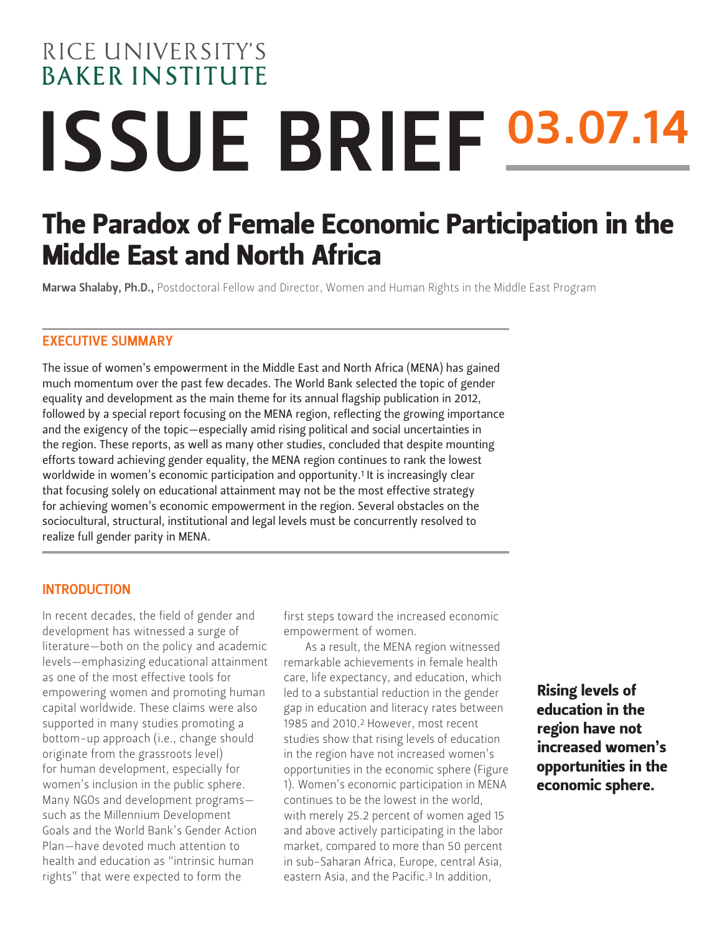# RICE UNIVERSITY'S **BAKER INSTITUTE** ISSUE BRIEF 03.07.14

# The Paradox of Female Economic Participation in the Middle East and North Africa

Marwa Shalaby, Ph.D., Postdoctoral Fellow and Director, Women and Human Rights in the Middle East Program

#### EXECUTIVE SUMMARY

The issue of women's empowerment in the Middle East and North Africa (MENA) has gained much momentum over the past few decades. The World Bank selected the topic of gender equality and development as the main theme for its annual flagship publication in 2012, followed by a special report focusing on the MENA region, reflecting the growing importance and the exigency of the topic—especially amid rising political and social uncertainties in the region. These reports, as well as many other studies, concluded that despite mounting efforts toward achieving gender equality, the MENA region continues to rank the lowest worldwide in women's economic participation and opportunity.1 It is increasingly clear that focusing solely on educational attainment may not be the most effective strategy for achieving women's economic empowerment in the region. Several obstacles on the sociocultural, structural, institutional and legal levels must be concurrently resolved to realize full gender parity in MENA.

#### INTRODUCTION

In recent decades, the field of gender and development has witnessed a surge of literature—both on the policy and academic levels—emphasizing educational attainment as one of the most effective tools for empowering women and promoting human capital worldwide. These claims were also supported in many studies promoting a bottom-up approach (i.e., change should originate from the grassroots level) for human development, especially for women's inclusion in the public sphere. Many NGOs and development programs such as the Millennium Development Goals and the World Bank's Gender Action Plan—have devoted much attention to health and education as "intrinsic human rights" that were expected to form the

first steps toward the increased economic empowerment of women.

As a result, the MENA region witnessed remarkable achievements in female health care, life expectancy, and education, which led to a substantial reduction in the gender gap in education and literacy rates between 1985 and 2010.2 However, most recent studies show that rising levels of education in the region have not increased women's opportunities in the economic sphere (Figure 1). Women's economic participation in MENA continues to be the lowest in the world, with merely 25.2 percent of women aged 15 and above actively participating in the labor market, compared to more than 50 percent in sub-Saharan Africa, Europe, central Asia, eastern Asia, and the Pacific.<sup>3</sup> In addition,

Rising levels of education in the region have not increased women's opportunities in the economic sphere.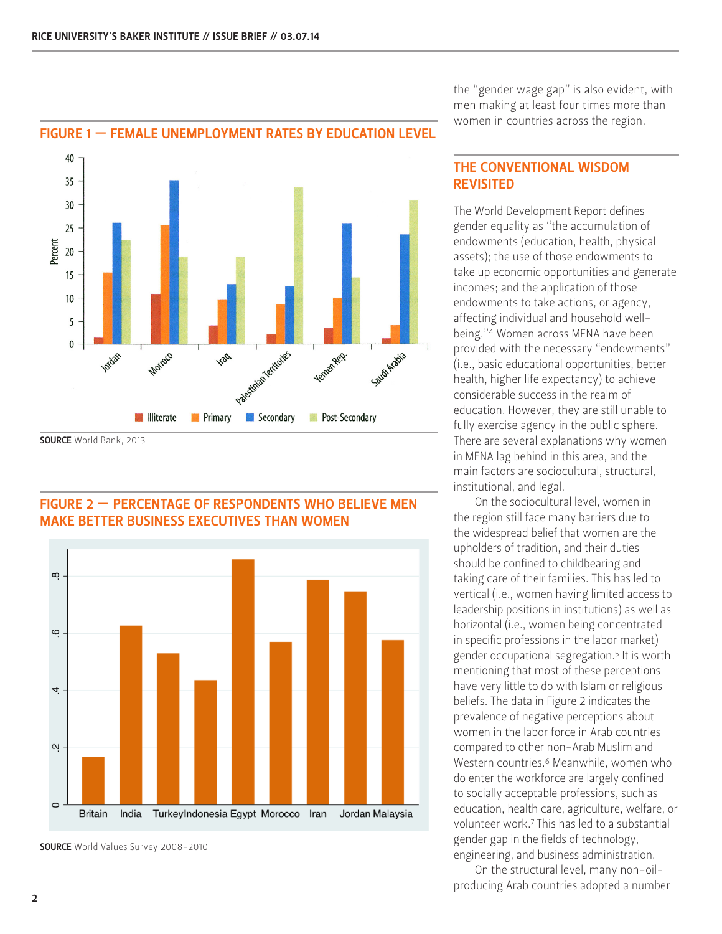

# FIGURE 1 — FEMALE UNEMPLOYMENT RATES BY EDUCATION LEVEL

SOURCE World Bank, 2013



## FIGURE 2 — PERCENTAGE OF RESPONDENTS WHO BELIEVE MEN MAKE BETTER BUSINESS EXECUTIVES THAN WOMEN

SOURCE World Values Survey 2008-2010

the "gender wage gap" is also evident, with men making at least four times more than women in countries across the region.

## THE CONVENTIONAL WISDOM REVISITED

The World Development Report defines gender equality as "the accumulation of endowments (education, health, physical assets); the use of those endowments to take up economic opportunities and generate incomes; and the application of those endowments to take actions, or agency, affecting individual and household wellbeing."4 Women across MENA have been provided with the necessary "endowments" (i.e., basic educational opportunities, better health, higher life expectancy) to achieve considerable success in the realm of education. However, they are still unable to fully exercise agency in the public sphere. There are several explanations why women in MENA lag behind in this area, and the main factors are sociocultural, structural, institutional, and legal.

On the sociocultural level, women in the region still face many barriers due to the widespread belief that women are the upholders of tradition, and their duties should be confined to childbearing and taking care of their families. This has led to vertical (i.e., women having limited access to leadership positions in institutions) as well as horizontal (i.e., women being concentrated in specific professions in the labor market) gender occupational segregation.5 It is worth mentioning that most of these perceptions have very little to do with Islam or religious beliefs. The data in Figure 2 indicates the prevalence of negative perceptions about women in the labor force in Arab countries compared to other non-Arab Muslim and Western countries.6 Meanwhile, women who do enter the workforce are largely confined to socially acceptable professions, such as education, health care, agriculture, welfare, or volunteer work.7 This has led to a substantial gender gap in the fields of technology, engineering, and business administration.

On the structural level, many non-oilproducing Arab countries adopted a number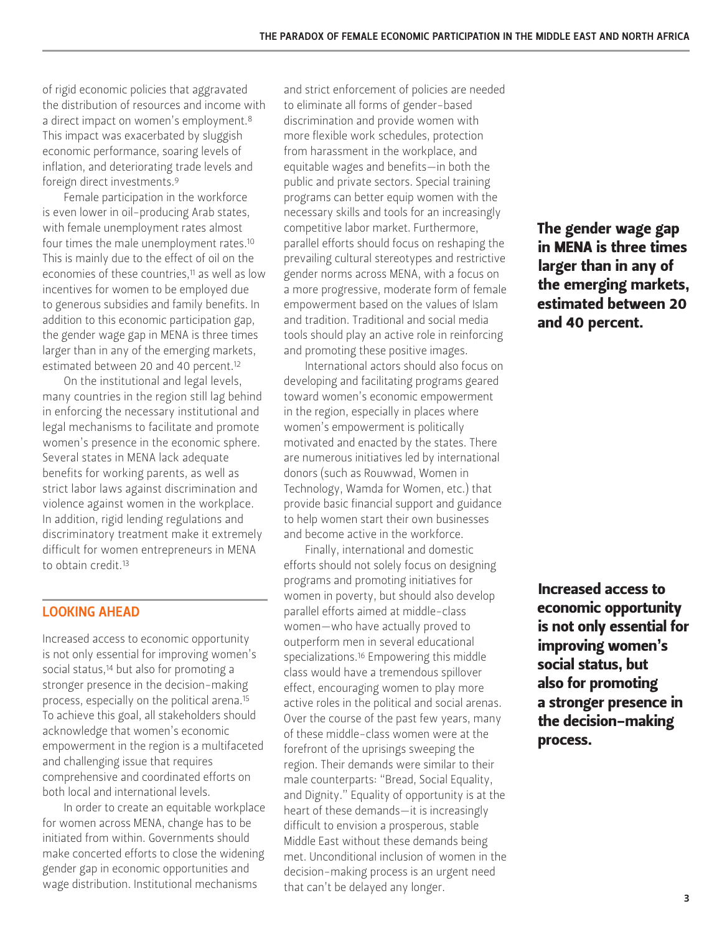of rigid economic policies that aggravated the distribution of resources and income with a direct impact on women's employment.<sup>8</sup> This impact was exacerbated by sluggish economic performance, soaring levels of inflation, and deteriorating trade levels and foreign direct investments.9

Female participation in the workforce is even lower in oil-producing Arab states, with female unemployment rates almost four times the male unemployment rates.10 This is mainly due to the effect of oil on the economies of these countries,11 as well as low incentives for women to be employed due to generous subsidies and family benefits. In addition to this economic participation gap, the gender wage gap in MENA is three times larger than in any of the emerging markets, estimated between 20 and 40 percent.12

On the institutional and legal levels, many countries in the region still lag behind in enforcing the necessary institutional and legal mechanisms to facilitate and promote women's presence in the economic sphere. Several states in MENA lack adequate benefits for working parents, as well as strict labor laws against discrimination and violence against women in the workplace. In addition, rigid lending regulations and discriminatory treatment make it extremely difficult for women entrepreneurs in MENA to obtain credit.13

#### LOOKING AHEAD

Increased access to economic opportunity is not only essential for improving women's social status,<sup>14</sup> but also for promoting a stronger presence in the decision-making process, especially on the political arena.15 To achieve this goal, all stakeholders should acknowledge that women's economic empowerment in the region is a multifaceted and challenging issue that requires comprehensive and coordinated efforts on both local and international levels.

In order to create an equitable workplace for women across MENA, change has to be initiated from within. Governments should make concerted efforts to close the widening gender gap in economic opportunities and wage distribution. Institutional mechanisms

and strict enforcement of policies are needed to eliminate all forms of gender-based discrimination and provide women with more flexible work schedules, protection from harassment in the workplace, and equitable wages and benefits—in both the public and private sectors. Special training programs can better equip women with the necessary skills and tools for an increasingly competitive labor market. Furthermore, parallel efforts should focus on reshaping the prevailing cultural stereotypes and restrictive gender norms across MENA, with a focus on a more progressive, moderate form of female empowerment based on the values of Islam and tradition. Traditional and social media tools should play an active role in reinforcing and promoting these positive images.

International actors should also focus on developing and facilitating programs geared toward women's economic empowerment in the region, especially in places where women's empowerment is politically motivated and enacted by the states. There are numerous initiatives led by international donors (such as Rouwwad, Women in Technology, Wamda for Women, etc.) that provide basic financial support and guidance to help women start their own businesses and become active in the workforce.

Finally, international and domestic efforts should not solely focus on designing programs and promoting initiatives for women in poverty, but should also develop parallel efforts aimed at middle-class women—who have actually proved to outperform men in several educational specializations.16 Empowering this middle class would have a tremendous spillover effect, encouraging women to play more active roles in the political and social arenas. Over the course of the past few years, many of these middle-class women were at the forefront of the uprisings sweeping the region. Their demands were similar to their male counterparts: "Bread, Social Equality, and Dignity." Equality of opportunity is at the heart of these demands—it is increasingly difficult to envision a prosperous, stable Middle East without these demands being met. Unconditional inclusion of women in the decision-making process is an urgent need that can't be delayed any longer.

The gender wage gap in MENA is three times larger than in any of the emerging markets, estimated between 20 and 40 percent.

Increased access to economic opportunity is not only essential for improving women's social status, but also for promoting a stronger presence in the decision-making process.